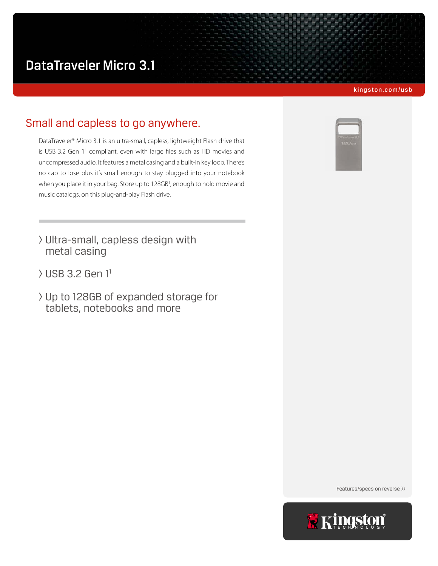# DataTraveler Micro 3.1

#### kingston.com/usb

# Small and capless to go anywhere.

DataTraveler® Micro 3.1 is an ultra-small, capless, lightweight Flash drive that is USB 3.2 Gen 11 compliant, even with large files such as HD movies and uncompressed audio. It features a metal casing and a built-in key loop. There's no cap to lose plus it's small enough to stay plugged into your notebook when you place it in your bag. Store up to 128GB<sup>1</sup>, enough to hold movie and music catalogs, on this plug-and-play Flash drive.

- > Ultra-small, capless design with metal casing
- > USB 3.2 Gen 11
- > Up to 128GB of expanded storage for tablets, notebooks and more



Features/specs on reverse >>